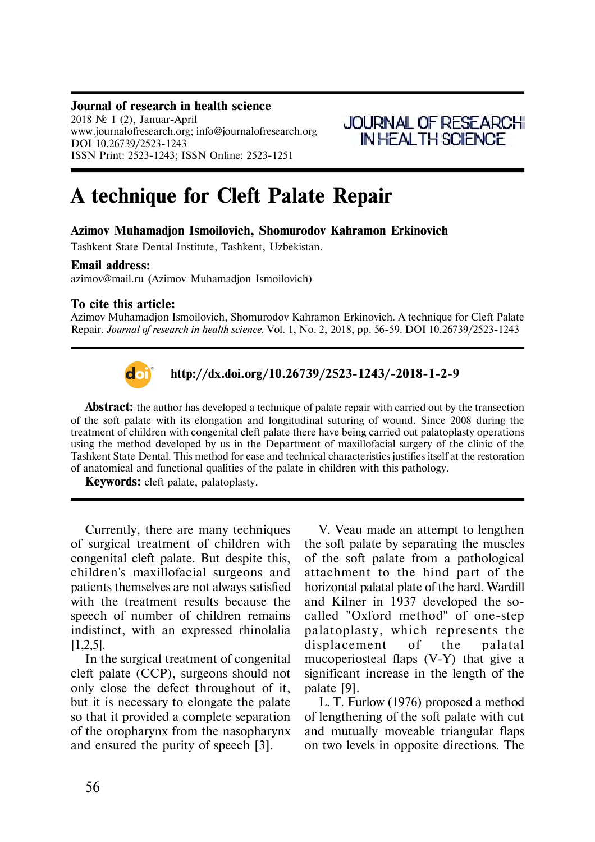#### **Journal of research in health science** 2018  $\mathcal{N}$  1 (2), Januar-April www.journalofresearch.org; info@journalofresearch.org DOI 10.26739/2523-1243 ISSN Print: 2523-1243; ISSN Online: 2523-1251



# **A technique for Cleft Palate Repair**

# Azimov Muhamadjon Ismoilovich, Shomurodov Kahramon Erkinovich

Tashkent State Dental Institute, Tashkent, Uzbekistan.

### **Email address:**

azimov@mail.ru (Azimov Muhamadjon Ismoilovich)

# **To cite this article:**

Azimov Muhamadjon Ismoilovich, Shomurodov Kahramon Erkinovich. A technique for Cleft Palate Repair. *Journal of research in health science.* Vol. 1, No. 2, 2018, pp. 56-59. DOI 10.26739/2523-1243



**http://dx.doi.org/10.26739/2523-1243/-2018-1-2-9**

**Abstract:** the author has developed a technique of palate repair with carried out by the transection of the soft palate with its elongation and longitudinal suturing of wound. Since 2008 during the treatment of children with congenital cleft palate there have being carried out palatoplasty operations using the method developed by us in the Department of maxillofacial surgery of the clinic of the Tashkent State Dental. This method for ease and technical characteristics justifies itself at the restoration of anatomical and functional qualities of the palate in children with this pathology.

**Keywords:** cleft palate, palatoplasty.

Currently, there are many techniques of surgical treatment of children with congenital cleft palate. But despite this, children's maxillofacial surgeons and patients themselves are not always satisfied with the treatment results because the speech of number of children remains indistinct, with an expressed rhinolalia [1,2,5].

In the surgical treatment of congenital cleft palate (CCP), surgeons should not only close the defect throughout of it, but it is necessary to elongate the palate so that it provided a complete separation of the oropharynx from the nasopharynx and ensured the purity of speech [3].

V. Veau made an attempt to lengthen the soft palate by separating the muscles of the soft palate from a pathological attachment to the hind part of the horizontal palatal plate of the hard. Wardill and Kilner in 1937 developed the socalled "Oxford method" of one-step palatoplasty, which represents the displacement of the palatal mucoperiosteal flaps (V-Y) that give a significant increase in the length of the palate [9].

L. T. Furlow (1976) proposed a method of lengthening of the soft palate with cut and mutually moveable triangular flaps on two levels in opposite directions. The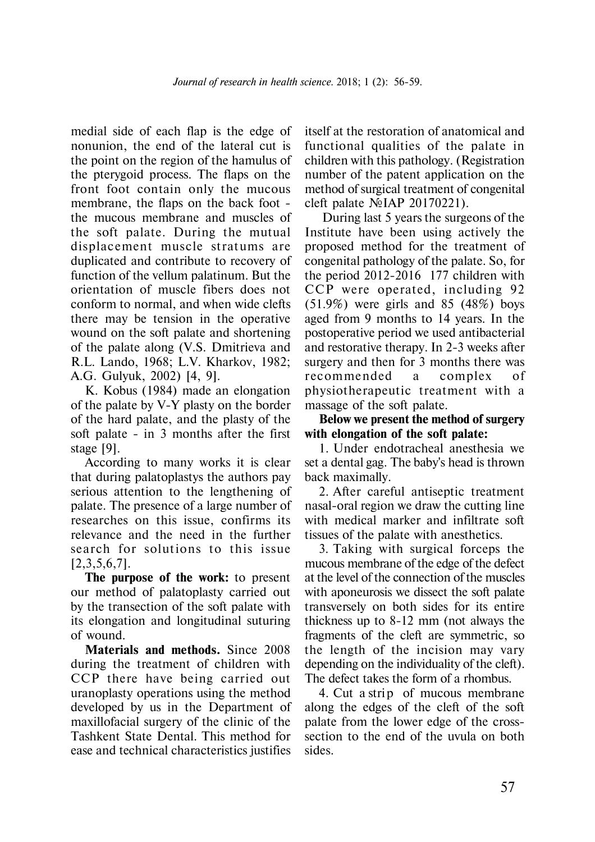medial side of each flap is the edge of nonunion, the end of the lateral cut is the point on the region of the hamulus of the pterygoid process. The flaps on the front foot contain only the mucous membrane, the flaps on the back foot the mucous membrane and muscles of the soft palate. During the mutual displacement muscle stratums are duplicated and contribute to recovery of function of the vellum palatinum. But the orientation of muscle fibers does not conform to normal, and when wide clefts there may be tension in the operative wound on the soft palate and shortening of the palate along (V.S. Dmitrieva and R.L. Lando, 1968; L.V. Kharkov, 1982; A.G. Gulyuk, 2002) [4, 9].

K. Kobus (1984) made an elongation of the palate by V-Y plasty on the border of the hard palate, and the plasty of the soft palate - in 3 months after the first stage [9].

According to many works it is clear that during palatoplastys the authors pay serious attention to the lengthening of palate. The presence of a large number of researches on this issue, confirms its relevance and the need in the further search for solutions to this issue  $[2,3,5,6,7]$ .

**The purpose of the work:** to present our method of palatoplasty carried out by the transection of the soft palate with its elongation and longitudinal suturing of wound.

**Materials and methods.** Since 2008 during the treatment of children with CCP there have being carried out uranoplasty operations using the method developed by us in the Department of maxillofacial surgery of the clinic of the Tashkent State Dental. This method for ease and technical characteristics justifies

itself at the restoration of anatomical and functional qualities of the palate in children with this pathology. (Registration number of the patent application on the method of surgical treatment of congenital cleft palate  $\mathcal{N}$ <sup>o</sup>IAP 20170221).

 During last 5 years the surgeons of the Institute have been using actively the proposed method for the treatment of congenital pathology of the palate. So, for the period 2012-2016 177 children with CCP were operated, including 92 (51.9%) were girls and 85 (48%) boys aged from 9 months to 14 years. In the postoperative period we used antibacterial and restorative therapy. In 2-3 weeks after surgery and then for 3 months there was recommended a complex of physiotherapeutic treatment with a massage of the soft palate.

## **Below we present the method of surgery with elongation of the soft palate:**

1. Under endotracheal anesthesia we set a dental gag. The baby's head is thrown back maximally.

2. After careful antiseptic treatment nasal-oral region we draw the cutting line with medical marker and infiltrate soft tissues of the palate with anesthetics.

3. Taking with surgical forceps the mucous membrane of the edge of the defect at the level of the connection of the muscles with aponeurosis we dissect the soft palate transversely on both sides for its entire thickness up to 8-12 mm (not always the fragments of the cleft are symmetric, so the length of the incision may vary depending on the individuality of the cleft). The defect takes the form of a rhombus.

4. Cut a strip of mucous membrane along the edges of the cleft of the soft palate from the lower edge of the crosssection to the end of the uvula on both sides.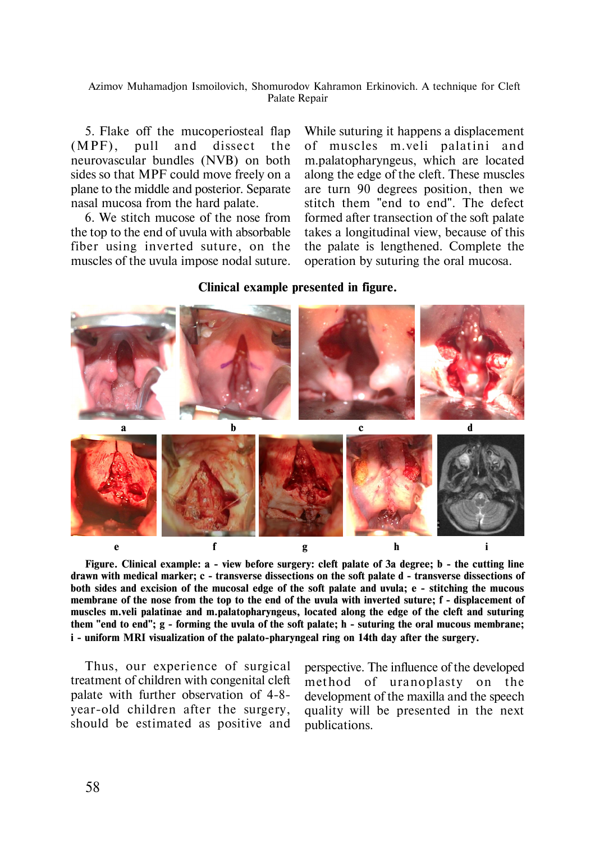Azimov Muhamadjon Ismoilovich, Shomurodov Êahramon Erkinovich. A technique for Cleft Palate Repair

5. Flake off the mucoperiosteal flap  $(MPF)$ , pull and dissect the neurovascular bundles (NVB) on both sides so that MPF could move freely on a plane to the middle and posterior. Separate nasal mucosa from the hard palate.

6. We stitch mucose of the nose from the top to the end of uvula with absorbable fiber using inverted suture, on the muscles of the uvula impose nodal suture.

While suturing it happens a displacement of muscles m.veli palatini and m.palatopharyngeus, which are located along the edge of the cleft. These muscles are turn 90 degrees position, then we stitch them "end to end". The defect formed after transection of the soft palate takes a longitudinal view, because of this the palate is lengthened. Complete the operation by suturing the oral mucosa.

## **Clinical example presented in figure.**



**Figure. Clinical example: à - view before surgery: cleft palate of 3a degree; b - the cutting line drawn with medical marker; c - transverse dissections on the soft palate d - transverse dissections of both sides and excision of the mucosal edge of the soft palate and uvula; e - stitching the mucous membrane of the nose from the top to the end of the uvula with inverted suture; f - displacement of muscles m.veli palatinae and m.palatopharyngeus, located along the edge of the cleft and suturing them "end to end"; g - forming the uvula of the soft palate; h - suturing the oral mucous membrane; i - uniform MRI visualization of the palato-pharyngeal ring on 14th day after the surgery.**

Thus, our experience of surgical treatment of children with congenital cleft palate with further observation of 4-8 year-old children after the surgery, should be estimated as positive and

perspective. The influence of the developed method of uranoplasty on the development of the maxilla and the speech quality will be presented in the next publications.